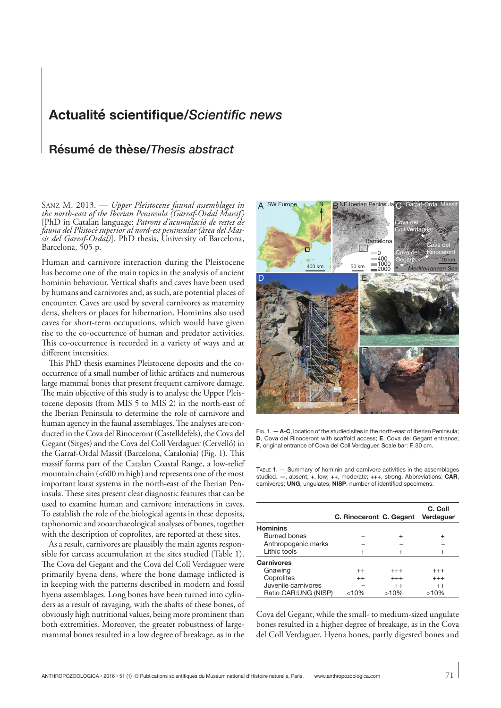## **Actualité scientifique/***Scientific news*

## **Résumé de thèse/***Thesis abstract*

Sanz M. 2013. — *Upper Pleistocene faunal assemblages in the north-east of the Iberian Peninsula (Garraf-Ordal Massif)* [PhD in Catalan language: *Patrons d'acumulació de restes de fauna del Plistocè superior al nord-est peninsular (àrea del Mas- sís del Garraf-Ordal)*]. PhD thesis, University of Barcelona, Barcelona, 505 p.

Human and carnivore interaction during the Pleistocene has become one of the main topics in the analysis of ancient hominin behaviour. Vertical shafts and caves have been used by humans and carnivores and, as such, are potential places of encounter. Caves are used by several carnivores as maternity dens, shelters or places for hibernation. Hominins also used caves for short-term occupations, which would have given rise to the co-occurrence of human and predator activities. This co-occurrence is recorded in a variety of ways and at different intensities.

This PhD thesis examines Pleistocene deposits and the cooccurrence of a small number of lithic artifacts and numerous large mammal bones that present frequent carnivore damage. The main objective of this study is to analyse the Upper Pleistocene deposits (from MIS 5 to MIS 2) in the north-east of the Iberian Peninsula to determine the role of carnivore and human agency in the faunal assemblages. The analyses are conducted in the Cova del Rinoceront (Castelldefels), the Cova del Gegant (Sitges) and the Cova del Coll Verdaguer (Cervelló) in the Garraf-Ordal Massif (Barcelona, Catalonia) (Fig. 1). This massif forms part of the Catalan Coastal Range, a low-relief mountain chain (<600 m high) and represents one of the most important karst systems in the north-east of the Iberian Peninsula. These sites present clear diagnostic features that can be used to examine human and carnivore interactions in caves. To establish the role of the biological agents in these deposits, taphonomic and zooarchaeological analyses of bones, together with the description of coprolites, are reported at these sites.

As a result, carnivores are plausibly the main agents responsible for carcass accumulation at the sites studied (Table 1). The Cova del Gegant and the Cova del Coll Verdaguer were primarily hyena dens, where the bone damage inflicted is in keeping with the patterns described in modern and fossil hyena assemblages. Long bones have been turned into cylinders as a result of ravaging, with the shafts of these bones, of obviously high nutritional values, being more prominent than both extremities. Moreover, the greater robustness of largemammal bones resulted in a low degree of breakage, as in the



Fig. 1. — **A**-**C**, location of the studied sites in the north-east of Iberian Peninsula; **D**, Cova del Rinoceront with scaffold access; **E**, Cova del Gegant entrance; **F**, original entrance of Cova del Coll Verdaguer. Scale bar: F, 30 cm.

Table 1. — Summary of hominin and carnivore activities in the assemblages studied. **—**, absent; **+**, low; **++**, moderate; **+++**, strong. Abbreviations: **CAR**, carnivores; **UNG**, ungulates; **NISP**, number of identified specimens.

|                       | C. Rinoceront C. Gegant |          | C. Coll<br>Verdaguer |
|-----------------------|-------------------------|----------|----------------------|
| <b>Hominins</b>       |                         |          |                      |
| Burned bones          |                         | $^{+}$   | $\ddot{}$            |
| Anthropogenic marks   |                         |          |                      |
| Lithic tools          | $^{+}$                  |          | $^{+}$               |
| <b>Carnivores</b>     |                         |          |                      |
| Gnawing               | $^{++}$                 | $^{+++}$ | $^{+++}$             |
| Coprolites            | $^{++}$                 | $+++$    | $^{+++}$             |
| Juvenile carnivores   |                         | $^{++}$  | $++$                 |
| Ratio CAR: UNG (NISP) | <10%                    | >10%     | >10%                 |

Cova del Gegant, while the small- to medium-sized ungulate bones resulted in a higher degree of breakage, as in the Cova del Coll Verdaguer. Hyena bones, partly digested bones and